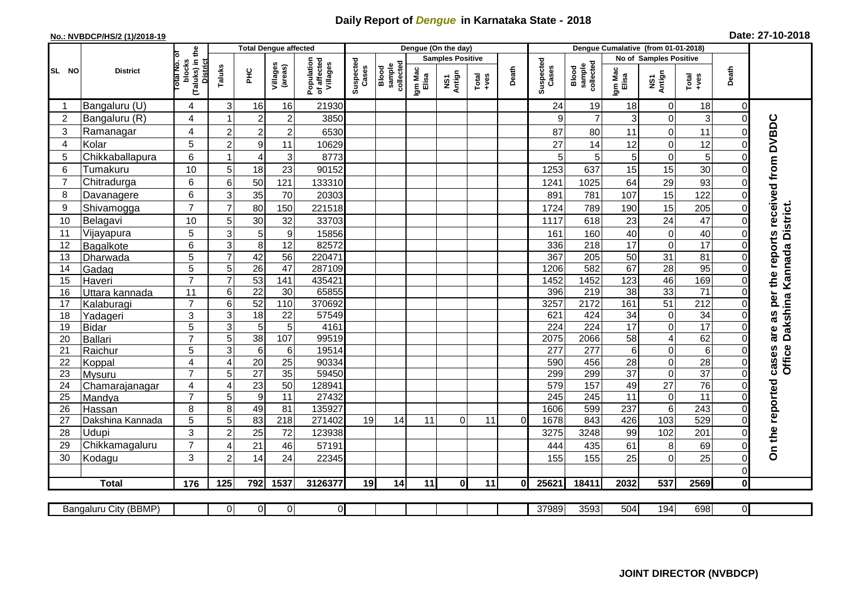## **Daily Report of** *Dengue* **in Karnataka State - 2018**

## **No.: NVBDCP/HS/2 (1)/2018-19 Date: 27-10-2018**

|                |                          |                                                       |                     |                       | <b>Total Dengue affected</b>       |                                       |                    |                              |                         | Dengue (On the day) |                                                                      |          |                    | Dengue Cumalative (from 01-01-2018) |                        |                              |                       |                     |                                                                  |
|----------------|--------------------------|-------------------------------------------------------|---------------------|-----------------------|------------------------------------|---------------------------------------|--------------------|------------------------------|-------------------------|---------------------|----------------------------------------------------------------------|----------|--------------------|-------------------------------------|------------------------|------------------------------|-----------------------|---------------------|------------------------------------------------------------------|
|                | <b>District</b>          |                                                       |                     |                       |                                    |                                       |                    |                              | <b>Samples Positive</b> |                     |                                                                      |          |                    |                                     | No of Samples Positive |                              |                       |                     |                                                                  |
| SL NO          |                          | (Taluks) in the<br>District<br>Total No. Of<br>blocks | Taluks              | ЭHС                   | Villages<br>(areas)                | Population<br>of affected<br>Villages | Suspected<br>Cases | Blood<br>sample<br>collected | Igm Mac<br>Elisa        | NS1<br>Antign       | $\begin{array}{c}\n\text{Total} \\ \text{1} & \text{1}\n\end{array}$ | Death    | Suspected<br>Cases | collected<br>Blood<br>sample        | Igm Mac<br>Elisa       | NS1<br>Antign                | $Tota$<br>$+ves$      | Death               |                                                                  |
| -1             | Bangaluru (U)            | 4                                                     | 3                   | 16                    | 16                                 | 21930                                 |                    |                              |                         |                     |                                                                      |          | 24                 | 19                                  | 18                     | $\mathbf 0$                  | 18                    | $\mathbf 0$         |                                                                  |
| $\overline{2}$ | Bangaluru (R)            | 4                                                     |                     | $\overline{2}$        | $\overline{c}$                     | 3850                                  |                    |                              |                         |                     |                                                                      |          | 9                  |                                     | 3                      | $\pmb{0}$                    | 3                     | 0                   |                                                                  |
| 3              | Ramanagar                | 4                                                     | $\overline{2}$      | $\overline{2}$        | $\overline{c}$                     | 6530                                  |                    |                              |                         |                     |                                                                      |          | 87                 | 80                                  | 11                     | $\mathbf 0$                  | 11                    | $\overline{0}$      | On the reported cases are as per the reports received from DVBDC |
| 4              | Kolar                    | 5                                                     | $\overline{2}$      | $\boldsymbol{9}$      | 11                                 | 10629                                 |                    |                              |                         |                     |                                                                      |          | 27                 | 14                                  | 12                     | $\pmb{0}$                    | 12                    | 0                   |                                                                  |
| 5              | Chikkaballapura          | 6                                                     |                     | $\overline{4}$        | 3                                  | 8773                                  |                    |                              |                         |                     |                                                                      |          | 5                  | 5                                   | 5                      | $\mathbf 0$                  | 5                     | 0                   |                                                                  |
| 6              | Tumakuru                 | 10                                                    | 5                   | 18                    | 23                                 | 90152                                 |                    |                              |                         |                     |                                                                      |          | 1253               | 637                                 | 15                     | 15                           | 30                    | $\mathbf 0$         |                                                                  |
| 7              | Chitradurga              | 6                                                     | 6                   | 50                    | 121                                | 133310                                |                    |                              |                         |                     |                                                                      |          | 1241               | 1025                                | 64                     | 29                           | 93                    | $\overline{0}$      |                                                                  |
| 8              | Davanagere               | 6                                                     | 3                   | 35                    | 70                                 | 20303                                 |                    |                              |                         |                     |                                                                      |          | 891                | 781                                 | 107                    | 15                           | 122                   | 0                   |                                                                  |
| 9              | Shivamogga               | $\overline{7}$                                        | $\overline{7}$      | 80                    | 150                                | 221518                                |                    |                              |                         |                     |                                                                      |          | 1724               | 789                                 | 190                    | 15                           | 205                   | 0                   |                                                                  |
| 10             | Belagavi                 | 10                                                    | 5                   | 30                    | 32                                 | 33703                                 |                    |                              |                         |                     |                                                                      |          | 1117               | 618                                 | 23                     | 24                           | 47                    | $\mathbf 0$         | Dakshina Kannada District.                                       |
| 11             | Vijayapura               | 5                                                     | 3                   | 5                     | $\boldsymbol{9}$                   | 15856                                 |                    |                              |                         |                     |                                                                      |          | 161                | 160                                 | 40                     | $\pmb{0}$                    | 40                    | $\mathbf 0$         |                                                                  |
| 12             | Bagalkote                | 6                                                     | 3                   | 8                     | $\overline{12}$                    | 82572                                 |                    |                              |                         |                     |                                                                      |          | 336                | $\overline{218}$                    | $\overline{17}$        | $\pmb{0}$                    | $\overline{17}$       | $\overline{0}$      |                                                                  |
| 13             | Dharwada                 | 5                                                     |                     | 42                    | 56                                 | 220471                                |                    |                              |                         |                     |                                                                      |          | 367                | 205                                 | 50                     | 31                           | 81                    | 0                   |                                                                  |
| 14             | Gadag                    | $\overline{5}$                                        | 5                   | 26                    | 47                                 | 287109                                |                    |                              |                         |                     |                                                                      |          | 1206               | 582                                 | 67                     | 28                           | 95                    | $\mathbf 0$         |                                                                  |
| 15             | Haveri                   | $\overline{7}$                                        | $\overline{7}$      | 53                    | 141                                | 435421                                |                    |                              |                         |                     |                                                                      |          | 1452               | 1452                                | 123                    | 46                           | 169                   | $\mathbf 0$         |                                                                  |
| 16             | Uttara kannada           | 11                                                    | 6                   | $\overline{22}$       | $\overline{30}$                    | 65855                                 |                    |                              |                         |                     |                                                                      |          | 396                | $\overline{219}$                    | $\overline{38}$        | 33                           | $\overline{71}$       | 0                   |                                                                  |
| 17             | Kalaburagi               | $\overline{7}$                                        | 6                   | 52                    | 110                                | 370692                                |                    |                              |                         |                     |                                                                      |          | 3257               | 2172                                | 161                    | 51                           | $\overline{212}$      | 0                   |                                                                  |
| 18             | Yadageri                 | 3                                                     | 3                   | 18                    | 22                                 | 57549                                 |                    |                              |                         |                     |                                                                      |          | 621                | 424                                 | 34                     | $\mathsf 0$                  | 34                    | $\Omega$            |                                                                  |
| 19             | <b>Bidar</b>             | 5                                                     | 3                   | 5                     | 5                                  | 4161                                  |                    |                              |                         |                     |                                                                      |          | 224                | $\overline{224}$                    | $\overline{17}$        | $\pmb{0}$                    | $\overline{17}$       | $\Omega$            |                                                                  |
| 20             | Ballari                  | $\overline{7}$                                        | 5                   | 38                    | 107                                | 99519                                 |                    |                              |                         |                     |                                                                      |          | 2075               | 2066                                | 58                     | $\overline{4}$               | 62                    | $\overline{0}$      |                                                                  |
| 21             | Raichur                  | 5                                                     | 3                   | $6\phantom{1}6$       | $\,6$                              | 19514                                 |                    |                              |                         |                     |                                                                      |          | $\overline{277}$   | 277                                 | $6\phantom{1}$         | $\pmb{0}$                    | 6                     | $\mathbf 0$         | <b>Office</b>                                                    |
| 22             | Koppal                   | 4                                                     | $\overline{4}$      | 20                    | 25                                 | 90334                                 |                    |                              |                         |                     |                                                                      |          | 590                | 456                                 | 28                     | $\mathbf 0$                  | $\overline{28}$       | $\mathbf 0$         |                                                                  |
| 23<br>24       | Mysuru                   | $\overline{7}$<br>4                                   | 5<br>$\overline{4}$ | 27<br>$\overline{23}$ | $\overline{35}$<br>$\overline{50}$ | 59450<br>128941                       |                    |                              |                         |                     |                                                                      |          | 299<br>579         | 299<br>157                          | $\overline{37}$<br>49  | $\pmb{0}$<br>$\overline{27}$ | $\overline{37}$<br>76 | 0<br>$\overline{0}$ |                                                                  |
| 25             | Chamarajanagar<br>Mandya | $\overline{7}$                                        | 5                   | 9                     | 11                                 | 27432                                 |                    |                              |                         |                     |                                                                      |          | 245                | 245                                 | 11                     | 0                            | 11                    | 0                   |                                                                  |
| 26             | Hassan                   | 8                                                     | 8                   | 49                    | 81                                 | 135927                                |                    |                              |                         |                     |                                                                      |          | 1606               | 599                                 | 237                    | $\,6\,$                      | 243                   | $\mathbf 0$         |                                                                  |
| 27             | Dakshina Kannada         | $\overline{5}$                                        | $\overline{5}$      | 83                    | $\overline{218}$                   | 271402                                | 19                 | 14                           | 11                      | $\Omega$            | 11                                                                   | $\Omega$ | 1678               | 843                                 | 426                    | 103                          | 529                   | $\overline{0}$      |                                                                  |
| 28             | <b>Udupi</b>             | 3                                                     | $\overline{2}$      | 25                    | 72                                 | 123938                                |                    |                              |                         |                     |                                                                      |          | 3275               | 3248                                | 99                     | 102                          | 201                   | $\Omega$            |                                                                  |
| 29             | Chikkamagaluru           | $\overline{7}$                                        | 4                   | 21                    | 46                                 | 57191                                 |                    |                              |                         |                     |                                                                      |          | 444                | 435                                 | 61                     | 8                            | 69                    | $\Omega$            |                                                                  |
| 30             | Kodagu                   | 3                                                     | $\overline{2}$      | 14                    | 24                                 | 22345                                 |                    |                              |                         |                     |                                                                      |          | 155                | 155                                 | 25                     | $\mathbf 0$                  | 25                    | $\mathbf 0$         |                                                                  |
|                |                          |                                                       |                     |                       |                                    |                                       |                    |                              |                         |                     |                                                                      |          |                    |                                     |                        |                              |                       | 0                   |                                                                  |
|                | <b>Total</b>             | 176                                                   | 125                 | 792                   | 1537                               | 3126377                               | 19                 | 14                           | 11                      | $\mathbf{0}$        | 11                                                                   | $\bf{0}$ | 25621              | 18411                               | 2032                   | 537                          | 2569                  | $\mathbf 0$         |                                                                  |
|                |                          |                                                       |                     |                       |                                    |                                       |                    |                              |                         |                     |                                                                      |          |                    |                                     |                        |                              |                       |                     |                                                                  |
|                | Bangaluru City (BBMP)    |                                                       | $\Omega$            | $\overline{0}$        | 0                                  | $\overline{0}$                        |                    |                              |                         |                     |                                                                      |          | 37989              | 3593                                | 504                    | 194                          | 698                   | $\overline{0}$      |                                                                  |